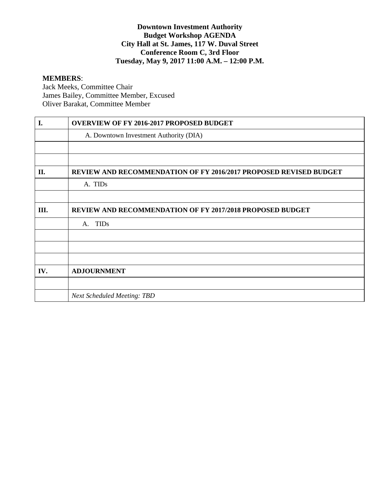# **Downtown Investment Authority Budget Workshop AGENDA City Hall at St. James, 117 W. Duval Street Conference Room C, 3rd Floor Tuesday, May 9, 2017 11:00 A.M. – 12:00 P.M.**

#### **MEMBERS**:

Jack Meeks, Committee Chair James Bailey, Committee Member, Excused Oliver Barakat, Committee Member

| I.  | <b>OVERVIEW OF FY 2016-2017 PROPOSED BUDGET</b>                          |
|-----|--------------------------------------------------------------------------|
|     | A. Downtown Investment Authority (DIA)                                   |
|     |                                                                          |
|     |                                                                          |
| II. | <b>REVIEW AND RECOMMENDATION OF FY 2016/2017 PROPOSED REVISED BUDGET</b> |
|     | A. TIDs                                                                  |
|     |                                                                          |
| Ш.  | <b>REVIEW AND RECOMMENDATION OF FY 2017/2018 PROPOSED BUDGET</b>         |
|     | <b>TIDs</b><br>A.                                                        |
|     |                                                                          |
|     |                                                                          |
|     |                                                                          |
| IV. | <b>ADJOURNMENT</b>                                                       |
|     |                                                                          |
|     | <b>Next Scheduled Meeting: TBD</b>                                       |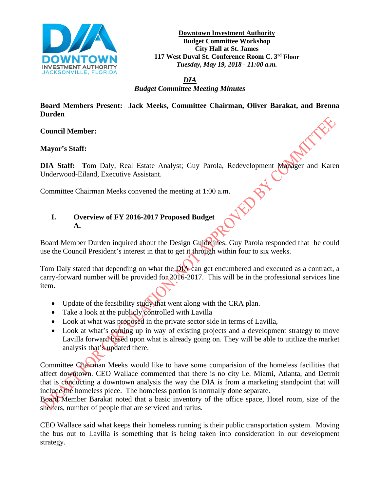

**Downtown Investment Authority Budget Committee Workshop City Hall at St. James 117 West Duval St. Conference Room C. 3rd Floor** *Tuesday, May 19, 2018 - 11:00 a.m.*

*DIA* 

*Budget Committee Meeting Minutes*

**Board Members Present: Jack Meeks, Committee Chairman, Oliver Barakat, and Brenna Durden**

**Council Member:**

**Mayor's Staff:** 

**DIA Staff: T**om Daly, Real Estate Analyst; Guy Parola, Redevelopment Manager and Karen Underwood-Eiland, Executive Assistant.

# Committee Chairman Meeks convened the meeting at 1:00 a.m.<br>
I. Overview of FV 2022 **I. Overview of FY 2016-2017 Proposed Budget A.**

Board Member Durden inquired about the Design Guidelines. Guy Parola responded that he could use the Council President's interest in that to get it through within four to six weeks.

Tom Daly stated that depending on what the DIA can get encumbered and executed as a contract, a carry-forward number will be provided for 2016-2017. This will be in the professional services line item.

- Update of the feasibility study that went along with the CRA plan.
- Take a look at the publicly controlled with Lavilla
- Look at what was proposed in the private sector side in terms of Lavilla,
- Look at what's coming up in way of existing projects and a development strategy to move Lavilla forward based upon what is already going on. They will be able to utitlize the market analysis that's updated there.

Committee Chairman Meeks would like to have some comparision of the homeless facilities that affect downtown. CEO Wallace commented that there is no city i.e. Miami, Atlanta, and Detroit that is conducting a downtown analysis the way the DIA is from a marketing standpoint that will include the homeless piece. The homeless portion is normally done separate.

Board Member Barakat noted that a basic inventory of the office space, Hotel room, size of the shelters, number of people that are serviced and ratius.

CEO Wallace said what keeps their homeless running is their public transportation system. Moving the bus out to Lavilla is something that is being taken into consideration in our development strategy.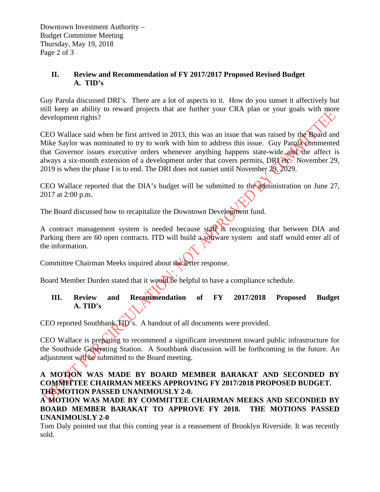Downtown Investment Authority – Budget Committee Meeting Thursday, May 19, 2018 Page 2 of 3

# **II. Review and Recommendation of FY 2017/2017 Proposed Revised Budget A. TID's**

Guy Parola discussed DRI's. There are a lot of aspects to it. How do you sunset it affectively but still keep an ability to reward projects that are further your CRA plan or your goals with more development rights?

CEO Wallace said when he first arrived in 2013, this was an issue that was raised by the Board and Mike Saylor was nominated to try to work with him to address this issue. Guy Parola commented that Governor issues executive orders whenever anything happens state-wide and the affect is always a six-month extension of a development order that covers permits, DRI etc. November 29, 2019 is when the phase I is to end. The DRI does not sunset until November 29,  $\overline{2029}$ .

CEO Wallace reported that the DIA's budget will be submitted to the administration on June 27, 2017 at 2:00 p.m.

The Board discussed how to recapitalize the Downtown Development fund.

A contract management system is needed because staff is recognizing that between DIA and Parking there are 60 open contracts. ITD will build a software system and staff would enter all of the information.

Committee Chairman Meeks inquired about the letter response.

Board Member Durden stated that it would be helpful to have a compliance schedule.

# **III. Review and Recommendation of FY 2017/2018 Proposed Budget A. TID's**

CEO reported Southbank TID's. A handout of all documents were provided.

CEO Wallace is preparing to recommend a significant investment toward public infrastructure for the Southside Generating Station. A Southbank discussion will be forthcoming in the future. An adjustment will be submitted to the Board meeting.

# **A MOTION WAS MADE BY BOARD MEMBER BARAKAT AND SECONDED BY COMMITTEE CHAIRMAN MEEKS APPROVING FY 2017/2018 PROPOSED BUDGET. THE MOTION PASSED UNANIMOUSLY 2-0.**

**A MOTION WAS MADE BY COMMITTEE CHAIRMAN MEEKS AND SECONDED BY BOARD MEMBER BARAKAT TO APPROVE FY 2018. THE MOTIONS PASSED UNANIMOUSLY 2-0** 

Tom Daly pointed out that this coming year is a reassement of Brooklyn Riverside. It was recently sold.